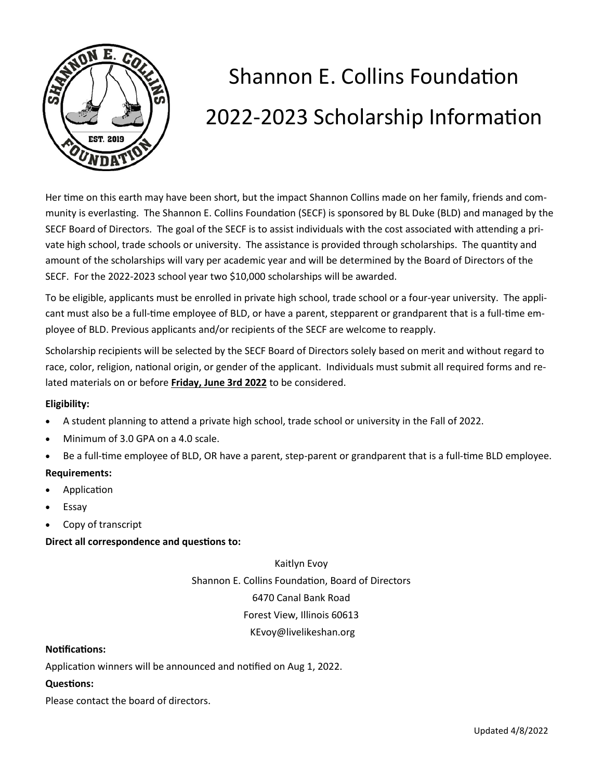

## Shannon E. Collins Foundation 2022-2023 Scholarship Information

Her time on this earth may have been short, but the impact Shannon Collins made on her family, friends and community is everlasting. The Shannon E. Collins Foundation (SECF) is sponsored by BL Duke (BLD) and managed by the SECF Board of Directors. The goal of the SECF is to assist individuals with the cost associated with attending a private high school, trade schools or university. The assistance is provided through scholarships. The quantity and amount of the scholarships will vary per academic year and will be determined by the Board of Directors of the SECF. For the 2022-2023 school year two \$10,000 scholarships will be awarded.

To be eligible, applicants must be enrolled in private high school, trade school or a four-year university. The applicant must also be a full-time employee of BLD, or have a parent, stepparent or grandparent that is a full-time employee of BLD. Previous applicants and/or recipients of the SECF are welcome to reapply.

Scholarship recipients will be selected by the SECF Board of Directors solely based on merit and without regard to race, color, religion, national origin, or gender of the applicant. Individuals must submit all required forms and related materials on or before **Friday, June 3rd 2022** to be considered.

#### **Eligibility:**

- A student planning to attend a private high school, trade school or university in the Fall of 2022.
- Minimum of 3.0 GPA on a 4.0 scale.
- Be a full-time employee of BLD, OR have a parent, step-parent or grandparent that is a full-time BLD employee.

#### **Requirements:**

- Application
- **Essay**
- Copy of transcript

#### **Direct all correspondence and questions to:**

Kaitlyn Evoy

Shannon E. Collins Foundation, Board of Directors

6470 Canal Bank Road

Forest View, Illinois 60613

#### KEvoy@livelikeshan.org

#### **Notifications:**

Application winners will be announced and notified on Aug 1, 2022.

#### **Questions:**

Please contact the board of directors.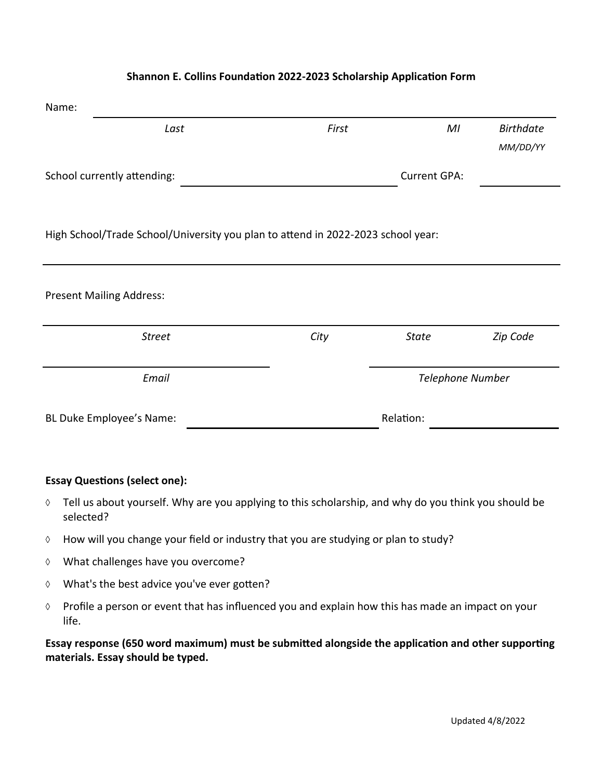| Name:                                                                            |       |                     |                  |
|----------------------------------------------------------------------------------|-------|---------------------|------------------|
| Last                                                                             | First | MI                  | <b>Birthdate</b> |
|                                                                                  |       |                     | MM/DD/YY         |
| School currently attending:                                                      |       | <b>Current GPA:</b> |                  |
|                                                                                  |       |                     |                  |
| High School/Trade School/University you plan to attend in 2022-2023 school year: |       |                     |                  |
|                                                                                  |       |                     |                  |
|                                                                                  |       |                     |                  |
| <b>Present Mailing Address:</b>                                                  |       |                     |                  |
| <b>Street</b>                                                                    | City  | <b>State</b>        | Zip Code         |
|                                                                                  |       |                     |                  |
| Email                                                                            |       | Telephone Number    |                  |
| BL Duke Employee's Name:                                                         |       | Relation:           |                  |
|                                                                                  |       |                     |                  |

#### **Shannon E. Collins Foundation 2022-2023 Scholarship Application Form**

#### **Essay Questions (select one):**

- $\Diamond$  Tell us about yourself. Why are you applying to this scholarship, and why do you think you should be selected?
- $\Diamond$  How will you change your field or industry that you are studying or plan to study?
- What challenges have you overcome?
- What's the best advice you've ever gotten?
- $\Diamond$  Profile a person or event that has influenced you and explain how this has made an impact on your life.

**Essay response (650 word maximum) must be submitted alongside the application and other supporting materials. Essay should be typed.**